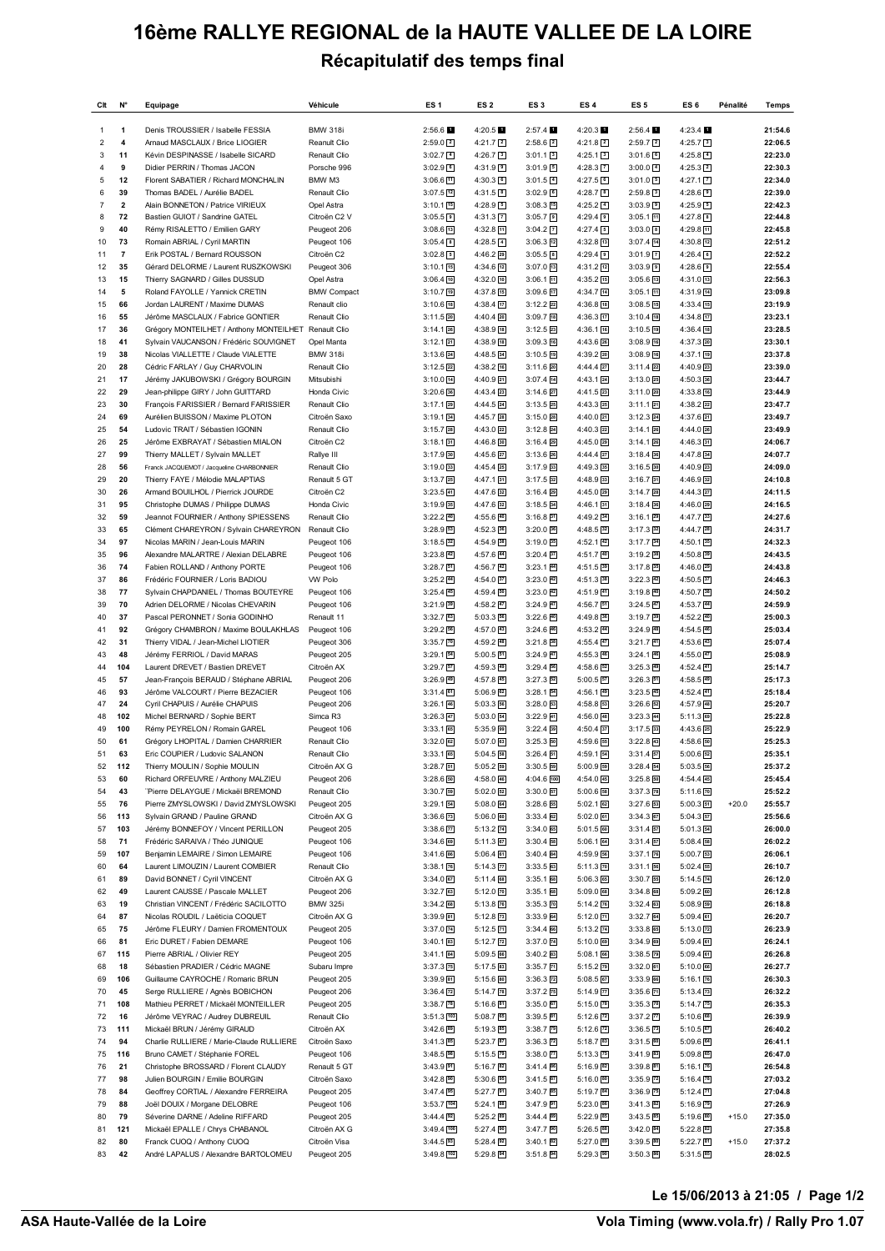## **16ème RALLYE REGIONAL de la HAUTE VALLEE DE LA LOIRE Récapitulatif des temps final**

| Clt                       | N°                      | Equipage                                                                                       | Véhicule                     | ES <sub>1</sub>               | ES <sub>2</sub>                    | ES <sub>3</sub>                                   | ES <sub>4</sub>                      | ES <sub>5</sub>                       | ES <sub>6</sub>                      | Pénalité | Temps              |
|---------------------------|-------------------------|------------------------------------------------------------------------------------------------|------------------------------|-------------------------------|------------------------------------|---------------------------------------------------|--------------------------------------|---------------------------------------|--------------------------------------|----------|--------------------|
| 1                         | 1                       | Denis TROUSSIER / Isabelle FESSIA                                                              | <b>BMW 318i</b>              | 2:56.6                        | 4:20.5                             | 2:57.4                                            | 4:20.3                               | 2:56.4                                | 4:23.4                               |          | 21:54.6            |
| $\overline{2}$            | $\overline{\mathbf{4}}$ | Arnaud MASCLAUX / Brice LIOGIER                                                                | Reanult Clio                 | $2:59.0$ 2                    | $4:21.7$ 2                         | $2:58.6$ 2                                        | $4:21.8$ 2                           | $2:59.7$ 2                            | $4:25.7$ 3                           |          | 22:06.5            |
| 3                         | 11                      | Kévin DESPINASSE / Isabelle SICARD                                                             | Renault Clio                 | $3:02.7$ $4$                  | $4:26.7$ 3                         | $3:01.1$ 3                                        | $4:25.1$ 3                           | $3:01.6$ 6                            | $4:25.8$ 4                           |          | 22:23.0            |
| 4<br>5                    | 9<br>12                 | Didier PERRIN / Thomas JACON<br>Florent SABATIER / Richard MONCHALIN                           | Porsche 996<br>BMW M3        | $3:02.9$ 6<br>$3:06.6$ [11]   | $4:31.9$ 9<br>$4:30.3$ 6           | 3:01.95<br>$3:01.5$ 4                             | $4:28.3$ $\boxed{7}$<br>$4:27.5$ 6   | $3:00.0$ 4<br>$3:01.0$ 5              | $4:25.3$ 2<br>4:27.1 [7]             |          | 22:30.3<br>22:34.0 |
| 6                         | 39                      | Thomas BADEL / Aurélie BADEL                                                                   | Renault Clio                 | $3:07.5$ <sup>12</sup>        | 4:31.5 8                           | $3:02.9$ 6                                        | $4:28.7$ 8                           | $2:59.8$ 3                            | $4:28.6$ 9                           |          | 22:39.0            |
| $\overline{\mathfrak{z}}$ | $\overline{\mathbf{2}}$ | Alain BONNETON / Patrice VIRIEUX                                                               | Opel Astra                   | 3:10.1 [15]                   | $4:28.9$ 5                         | $3:08.3$ 15                                       | $4:25.2$ 4                           | $3:03.9$ $\boxed{9}$                  | $4:25.9$ 5                           |          | 22:42.3            |
| 8                         | 72                      | Bastien GUIOT / Sandrine GATEL                                                                 | Citroën C2 V                 | $3:05.5$ <sup>9</sup>         | 4:31.3 7                           | $3:05.7$ 9                                        | $4:29.4$ 9                           | 3:05.1 回                              | 4:27.8 8                             |          | 22:44.8            |
| 9                         | 40                      | Rémy RISALETTO / Emilien GARY                                                                  | Peugeot 206                  | $3:08.6$ [13]                 | $4:32.8$ [1]                       | $3:04.2$ $7$                                      | $4:27.4$ 5                           | $3:03.0$ 8                            | $4:29.8$ [1]                         |          | 22:45.8            |
| 10                        | 73                      | Romain ABRIAL / Cyril MARTIN                                                                   | Peugeot 106                  | $3:05.4$ 8                    | $4:28.5$ 4                         | $3:06.3$ $12$                                     | 4:32.8 13                            | $3:07.4$ $14$                         | 4:30.8 12                            |          | 22:51.2            |
| 11<br>12                  | $\overline{7}$<br>35    | Erik POSTAL / Bernard ROUSSON<br>Gérard DELORME / Laurent RUSZKOWSKI                           | Citroën C2<br>Peugeot 306    | $3:02.8$ 5<br>$3:10.1$ 15     | $4:46.2$ $29$<br>4:34.6 12         | $3:05.5$ <sup>8</sup><br>$3:07.0$ $13$            | $4:29.4$ 9<br>4:31.2 12              | $3:01.9$ $7$<br>$3:03.9$ <sup>D</sup> | $4:26.4$ 6<br>$4:28.6$ 9             |          | 22:52.2<br>22:55.4 |
| 13                        | 15                      | Thierry SAGNARD / Gilles DUSSUD                                                                | Opel Astra                   | $3:06.4$ 10                   | $4:32.0$ 10                        | 3:06.1 11                                         | 4:35.2 15                            | $3:05.6$ [13]                         | 4:31.0 13                            |          | 22:56.3            |
| 14                        | 5                       | Roland FAYOLLE / Yannick CRETIN                                                                | <b>BMW Compact</b>           | 3:10.7 [19]                   | $4:37.8$ [15]                      | $3:09.6$ $17$                                     | $4:34.7$ 14                          | $3:05.1$ [1]                          | 4:31.9 14                            |          | 23:09.8            |
| 15                        | 66                      | Jordan LAURENT / Maxime DUMAS                                                                  | Renault clio                 | $3:10.6$ $18$                 | 4:38.4 17                          | $3:12.2$ $22$                                     | 4:36.8 18                            | $3:08.5$ $15$                         | 4:33.4 15                            |          | 23:19.9            |
| 16                        | 55                      | Jérôme MASCLAUX / Fabrice GONTIER                                                              | Renault Clio                 | $3:11.5$ 20                   | $4:40.4$ 20                        | $3:09.7$ 18                                       | $4:36.3$ 17                          | $3:10.4$ 18                           | 4:34.8 17                            |          | 23:23.1            |
| 17<br>18                  | 36<br>41                | Grégory MONTEILHET / Anthony MONTEILHET Renault Clio<br>Sylvain VAUCANSON / Frédéric SOUVIGNET | Opel Manta                   | $3:14.1$ 26<br>$3:12.1$ 21    | 4:38.9 18<br>4:38.9 18             | $3:12.5$ 23<br>$3:09.3$ 16                        | 4:36.1 16<br>4:43.6 26               | 3:10.5 19<br>3:08.9 16                | 4:36.4 18<br>4:37.3 20               |          | 23:28.5<br>23:30.1 |
| 19                        | 38                      | Nicolas VIALLETTE / Claude VIALETTE                                                            | <b>BMW 318i</b>              | $3:13.6$ 24                   | 4:48.5 34                          | $3:10.5$ 19                                       | 4:39.2 20                            | 3:08.9 [16]                           | 4:37.1 19                            |          | 23:37.8            |
| 20                        | 28                      | Cédric FARLAY / Guy CHARVOLIN                                                                  | Renault Clio                 | $3:12.5$ 22                   | 4:38.2 16                          | $3:11.6$ $20$                                     | 4:44.4 27                            | $3:11.4$ 22                           | 4:40.9 23                            |          | 23:39.0            |
| 21                        | 17                      | Jérémy JAKUBOWSKI / Grégory BOURGIN                                                            | Mitsubishi                   | 3:10.0 [14]                   | $4:40.9$ 21                        | $3:07.4$ $14$                                     | 4:43.1 24                            | $3:13.0$ $25$                         | 4:50.3 36                            |          | 23:44.7            |
| 22                        | 29                      | Jean-philippe GIRY / John GUITTARD                                                             | Honda Civic                  | $3:20.6$ $36$                 | 4:43.4 23                          | $3:14.6$ $27$                                     | 4:41.5 23                            | 3:11.0 20                             | 4:33.8 16                            |          | 23:44.9            |
| 23                        | 30                      | François FARISSIER / Bernard FARISSIER                                                         | Renault Clio                 | $3:17.1$ 29                   | 4:44.5 24                          | $3:13.5$ 25                                       | 4:43.3 25                            | $3:11.1$ 21                           | 4:38.2 22                            |          | 23:47.7            |
| 24<br>25                  | 69<br>54                | Aurélien BUISSON / Maxime PLOTON<br>Ludovic TRAIT / Sébastien IGONIN                           | Citroën Saxo<br>Renault Clio | $3:19.1$ 34<br>$3:15.7$ $28$  | 4:45.7 28<br>4:43.0 22             | $3:15.0$ 28<br>$3:12.8$ 24                        | 4:40.0 21<br>4:40.3 22               | $3:12.3$ $24$<br>$3:14.1$ $26$        | 4:37.6 21<br>4:44.0 26               |          | 23:49.7<br>23:49.9 |
| 26                        | 25                      | Jérôme EXBRAYAT / Sébastien MIALON                                                             | Citroën C2                   | $3:18.1$ 31                   | $4:46.8$ 30                        | $3:16.4$ 29                                       | 4:45.0 29                            | $3:14.1$ $26$                         | $4:46.3$ 31                          |          | 24:06.7            |
| 27                        | 99                      | Thierry MALLET / Sylvain MALLET                                                                | Rallye III                   | 3:17.9 30                     | $4:45.6$ $27$                      | $3:13.6$ $26$                                     | 4:44.4 27                            | $3:18.4$ 36                           | 4:47.8 34                            |          | 24:07.7            |
| 28                        | 56                      | Franck JACQUEMOT / Jacqueline CHARBONNIER                                                      | Renault Clio                 | $3:19.0$ 33                   | $4:45.4$ 25                        | 3:17.9 33                                         | 4:49.3 35                            | $3:16.5$ 30                           | 4:40.9 23                            |          | 24:09.0            |
| 29                        | 20                      | Thierry FAYE / Mélodie MALAPTIAS                                                               | Renault 5 GT                 | $3:13.7$ $25$                 | $4:47.1$ 31                        | $3:17.5$ 32                                       | 4:48.9 33                            | $3:16.7$ 31                           | 4:46.9 32                            |          | 24:10.8            |
| 30                        | 26                      | Armand BOUILHOL / Pierrick JOURDE                                                              | Citroën C2                   | $3:23.5$ [41]                 | 4:47.6 32                          | $3:16.4$ $29$                                     | 4:45.0 29                            | $3:14.7$ $28$                         | 4:44.3 27                            |          | 24:11.5            |
| 31<br>32                  | 95<br>59                | Christophe DUMAS / Philippe DUMAS<br>Jeannot FOURNIER / Anthony SPIESSENS                      | Honda Civic<br>Renault Clio  | $3:19.9$ 35<br>$3:22.2$ $40$  | 4:47.6 32<br>4:55.6 40             | $3:18.5$ 34<br>$3:16.8$ 31                        | $4:46.1$ 31<br>4:49.2 34             | $3:18.4$ 36<br>$3:16.1$ 29            | 4:46.0 29<br>4:47.7 33               |          | 24:16.5<br>24:27.6 |
| 33                        | 65                      | Clément CHAREYRON / Sylvain CHAREYRON                                                          | Renault Clio                 | 3:28.953                      | 4:52.3 36                          | $3:20.0$ 36                                       | 4:48.5 32                            | $3:17.3$ 32                           | 4:44.7 28                            |          | 24:31.7            |
| 34                        | 97                      | Nicolas MARIN / Jean-Louis MARIN                                                               | Peugeot 106                  | $3:18.5$ 32                   | 4:54.9 38                          | $3:19.0$ 35                                       | 4:52.1 42                            | $3:17.7$ 34                           | $4:50.1$ 35                          |          | 24:32.3            |
| 35                        | 96                      | Alexandre MALARTRE / Alexian DELABRE                                                           | Peugeot 106                  | $3:23.8$ $42$                 | 4:57.6 44                          | $3:20.4$ 37                                       | 4:51.7 40                            | $3:19.2$ 38                           | $4:50.8$ 39                          |          | 24:43.5            |
| 36                        | 74                      | Fabien ROLLAND / Anthony PORTE                                                                 | Peugeot 106                  | 3:28.751                      | 4:56.7 42                          | $3:23.1$ 44                                       | 4:51.5 39                            | $3:17.8$ 35                           | 4:46.0 29                            |          | 24:43.8            |
| 37                        | 86<br>77                | Frédéric FOURNIER / Loris BADIOU                                                               | <b>VW Polo</b>               | $3:25.2$ $44$                 | $4:54.0$ 37                        | $3:23.0$ $42$                                     | 4:51.3 38                            | $3:22.3$ $42$                         | $4:50.5$ 37                          |          | 24:46.3            |
| 38<br>39                  | 70                      | Sylvain CHAPDANIEL / Thomas BOUTEYRE<br>Adrien DELORME / Nicolas CHEVARIN                      | Peugeot 106<br>Peugeot 106   | $3:25.4$ 45<br>$3:21.9$ 39    | $4:59.4$ 50<br>$4:58.2$ 47         | $3:23.0$ 42<br>$3:24.9$ 47                        | 4:51.9 41<br>$4:56.7$ $51$           | 3:19.8 40<br>$3:24.5$ 47              | 4:50.7 38<br>$4:53.7$ 44             |          | 24:50.2<br>24:59.9 |
| 40                        | 37                      | Pascal PERONNET / Sonia GODINHO                                                                | Renault 11                   | $3:32.7$ 63                   | $5:03.3$ 56                        | $3:22.6$ 40                                       | 4:49.8 36                            | $3:19.7$ 39                           | 4:52.2 40                            |          | 25:00.3            |
| 41                        | 92                      | Grégory CHAMBRON / Maxime BOULAKHLAS                                                           | Peugeot 106                  | 3:29.256                      | 4:57.0 43                          | $3:24.6$ $46$                                     | 4:53.2 44                            | $3:24.9$ $48$                         | 4:54.5 46                            |          | 25:03.4            |
| 42                        | 31                      | Thierry VIDAL / Jean-Michel LIOTIER                                                            | Peugeot 306                  | $3:35.7$ $\boxed{70}$         | 4:59.2 48                          | $3:21.8$ 38                                       | $4:55.4$ $47$                        | $3:21.7$ 41                           | $4:53.6$ $43$                        |          | 25:07.4            |
| 43                        | 48                      | Jérémy FERRIOL / David MARAS                                                                   | Peugeot 205                  | 3:29.1 54                     | $5:00.5$ [51]                      | $3:24.9$ 47                                       | 4:55.3 46                            | $3:24.1$ 46                           | 4:55.0 47                            |          | 25:08.9            |
| 44<br>45                  | 104<br>57               | Laurent DREVET / Bastien DREVET                                                                | Citroën AX                   | $3:29.7$ 57                   | 4:59.3 49                          | $3:29.4$ 56                                       | 4:58.6 52                            | $3:25.3$ 49                           | $4:52.4$ 41                          |          | 25:14.7            |
| 46                        | 93                      | Jean-François BERAUD / Stéphane ABRIAL<br>Jérôme VALCOURT / Pierre BEZACIER                    | Peugeot 206<br>Peugeot 106   | $3:26.9$ $49$<br>$3:31.4$ 61  | $4:57.8$ $45$<br>$5:06.9$ $62$     | $3:27.3$ 52<br>3:28.154                           | $5:00.5$ $57$<br>4:56.1 49           | 3:26.351<br>$3:23.5$ $45$             | $4:58.5$ 49<br>$4:52.4$ $41$         |          | 25:17.3<br>25:18.4 |
| 47                        | 24                      | Cyril CHAPUIS / Aurélie CHAPUIS                                                                | Peugeot 206                  | 3:26.1 46                     | $5:03.3$ $56$                      | $3:28.0$ 3                                        | $4:58.8$ $53$                        | $3:26.6$ $52$                         | 4:57.9 48                            |          | 25:20.7            |
| 48                        | 102                     | Michel BERNARD / Sophie BERT                                                                   | Simca R3                     | $3:26.3$ $47$                 | 5:03.0 54                          | $3:22.9$ 41                                       | 4:56.0 48                            | $3:23.3$ $44$                         | $5:11.3$ 69                          |          | 25:22.8            |
| 49                        | 100                     | Rémy PEYRELON / Romain GAREL                                                                   | Peugeot 106                  | $3:33.1$ 65                   | 5:35.9 99                          | $3:22.4$ 39                                       | $4:50.4$ 37                          | $3:17.5$ 33                           | 4:43.6 25                            |          | 25:22.9            |
| 50                        | 61                      | Grégory LHOPITAL / Damien CHARRIER                                                             | Renault Clio                 | 3:32.0 62                     | 5:07.0 63                          | $3:25.3$ 50                                       | 4:59.6 55                            | $3:22.8$ $43$                         | 4:58.6 50                            |          | 25:25.3            |
| 51                        | 63<br>112               | Eric COUPIER / Ludovic SALANON<br>Thierry MOULIN / Sophie MOULIN                               | Renault Clio<br>Citroën AX G | 3:33.1 65                     | $5:04.5$ 58<br>5:05.2 59           | $3:26.4$ 51                                       | 4:59.1 54                            | $3:31.4$ $57$                         | 5:00.6 52                            |          | 25:35.1<br>25:37.2 |
| 52<br>53                  | 60                      | Richard ORFEUVRE / Anthony MALZIEU                                                             | Peugeot 206                  | 3:28.751<br>$3:28.6$ $50$     | 4:58.0 46                          | $3:30.5$ 59<br>4:04.6 100                         | $5:00.9$ 59<br>4:54.0 45             | 3:28.454<br>3:25.8 50                 | 5:03.5 56<br>4:54.4 45               |          | 25:45.4            |
| 54                        | 43                      | "Pierre DELAYGUE / Mickaël BREMOND                                                             | Renault Clio                 | 3:30.7 59                     | $5:02.0$ $52$                      | $3:30.0$ $57$                                     | 5:00.6 58                            | 3:37.378                              | $5:11.6$ $\boxed{70}$                |          | 25:52.2            |
| 55                        | 76                      | Pierre ZMYSLOWSKI / David ZMYSLOWSKI                                                           | Peugeot 205                  | $3:29.1$ 54                   | 5:08.0 64                          | $3:28.6$ 55                                       | $5:02.1$ 62                          | $3:27.6$ $53$                         | $5:00.3$ $51$                        | $+20.0$  | 25:55.7            |
| 56                        | 113                     | Sylvain GRAND / Pauline GRAND                                                                  | Citroën AX G                 | $3:36.6$ $73$                 | 5:06.0                             | $3:33.4$ $62$                                     | 5:02.0 61                            | $3:34.3$ $67$                         | $5:04.3$ $57$                        |          | 25:56.6            |
| 57                        | 103                     | Jérémy BONNEFOY / Vincent PERILLON                                                             | Peugeot 205                  | $3:38.6$ $\overline{77}$      | $5:13.2$ $\boxed{74}$              | $3:34.0$ 65                                       | 5:01.5 60                            | $3:31.4$ $57$                         | 5:01.3 54                            |          | 26:00.0            |
| 58<br>59                  | 71<br>107               | Frédéric SARAIVA / Théo JUNIQUE<br>Benjamin LEMAIRE / Simon LEMAIRE                            | Peugeot 106<br>Peugeot 106   | $3:34.6$ 69<br>3:41.6 86      | $5:11.3$ $67$<br>$5:06.4$ 61       | $3:30.4$ 58<br>$3:40.4$ $84$                      | $5:06.1$ 64<br>4:59.9 56             | $3:31.4$ $57$<br>$3:37.1$ $76$        | $5:08.4$ 58<br>$5:00.7$ [53]         |          | 26:02.2<br>26:06.1 |
| 60                        | 64                      | Laurent LIMOUZIN / Laurent COMBIER                                                             | Renault Clio                 | $3:38.1$ $76$                 | $5:14.3$ $\boxed{7}$               | $3:33.5$ 63                                       | 5:11.3 70                            | $3:31.1$ 56                           | $5:02.4$ $55$                        |          | 26:10.7            |
| 61                        | 89                      | David BONNET / Cyril VINCENT                                                                   | Citroën AX G                 | $3:34.0$ 67                   | $5:11.4$ 68                        | $3:35.1$ 68                                       | 5:06.3 65                            | 3:30.755                              | $5:14.5$ $\overline{74}$             |          | 26:12.0            |
| 62                        | 49                      | Laurent CAUSSE / Pascale MALLET                                                                | Peugeot 206                  | $3:32.7$ 63                   | 5:12.0 7                           | $3:35.1$ 68                                       | 5:09.0 68                            | $3:34.8$ 68                           | 5:09.2                               |          | 26:12.8            |
| 63                        | 19                      | Christian VINCENT / Frédéric SACILOTTO                                                         | <b>BMW 325i</b>              | $3:34.2$ 68                   | 5:13.8 76                          | 3:35.3 70                                         | $5:14.2$ $76$                        | $3:32.4$ 63                           | $5:08.9$ 59                          |          | 26:18.8            |
| 64                        | 87                      | Nicolas ROUDIL / Laëticia COQUET                                                               | Citroën AX G                 | 3:39.9 81                     | $5:12.8$ 2                         | 3:33.9                                            | 5:12.0 [1]                           | 3:32.7 64                             | $5:09.4$ 61                          |          | 26:20.7            |
| 65<br>66                  | 75<br>81                | Jérôme FLEURY / Damien FROMENTOUX<br>Eric DURET / Fabien DEMARE                                | Peugeot 205                  | 3:37.0 74<br>$3:40.1$ 83      | $5:12.5$ [1]                       | 3:34.4 66<br>3:37.0 74                            | 5:13.2 74<br>5:10.0 69               | 3:33.8 65<br>3:34.9                   | $5:13.0$ $\boxed{72}$<br>$5:09.4$ 61 |          | 26:23.9<br>26:24.1 |
| 67                        | 115                     | Pierre ABRIAL / Olivier REY                                                                    | Peugeot 106<br>Peugeot 205   | $3:41.1$ $84$                 | $5:12.7$ $\boxed{72}$<br>5:09.5 66 | $3:40.2$ 83                                       | $5:08.1$ 66                          | 3:38.5 79                             | $5:09.4$ 61                          |          | 26:26.8            |
| 68                        | 18                      | Sébastien PRADIER / Cédric MAGNE                                                               | Subaru Impre                 | 3:37.3 75                     | $5:17.5$ 83                        | 3:35.7 71                                         | $5:15.2$ $79$                        | 3:32.0 61                             | $5:10.0$ 66                          |          | 26:27.7            |
| 69                        | 106                     | Guillaume CAYROCHE / Romaric BRUN                                                              | Peugeot 205                  | 3:39.9 81                     | $5:15.6$ 80                        | $3:36.3$ $\overline{72}$                          | $5:08.5$ 67                          | 3:33.9 66                             | $5:16.1$ $\overline{76}$             |          | 26:30.3            |
| 70                        | 45                      | Serge RULLIERE / Agnès BOBICHON                                                                | Peugeot 206                  | $3:36.4$ $72$                 | $5:14.7$ $\overline{78}$           | 3:37.2 75                                         | $5:14.9$ $\boxed{77}$                | 3:35.6 71                             | $5:13.4$ $\boxed{73}$                |          | 26:32.2            |
| 71                        | 108                     | Mathieu PERRET / Mickaël MONTEILLER                                                            | Peugeot 205                  | 3:38.7 78                     | $5:16.6$ [81]                      | $3:35.0$ 67                                       | $5:15.0$ $\overline{78}$             | 3:35.3 70                             | 5:14.7 75                            |          | 26:35.3            |
| 72                        | 16                      | Jérôme VEYRAC / Audrey DUBREUIL                                                                | Renault Clio                 | $3:51.3$ $103$                | $5:08.7$ 65                        | $3:39.5$ 81                                       | 5:12.6 72                            | $3:37.2$ $\overline{77}$              | $5:10.6$ 68                          |          | 26:39.9            |
| 73<br>74                  | 111<br>94               | Mickaël BRUN / Jérémy GIRAUD<br>Charlie RULLIERE / Marie-Claude RULLIERE                       | Citroën AX<br>Citroën Saxo   | 3:42.6 89<br>$3:41.3$ 85      | $5:19.3$ 85<br>$5:23.7$ 87         | $3:38.7$ $\boxed{79}$<br>$3:36.3$ $\overline{72}$ | $5:12.6$ $\boxed{72}$<br>$5:18.7$ 83 | $3:36.5$ $\boxed{73}$<br>3:31.5 60    | $5:10.5$ 67<br>5:09.6 64             |          | 26:40.2<br>26:41.1 |
| 75                        | 116                     | Bruno CAMET / Stéphanie FOREL                                                                  | Peugeot 106                  | $3:48.5$ <sup>98</sup>        | $5:15.5$ $79$                      | $3:38.0$ $\overline{T}$                           | 5:13.3 75                            | $3:41.9$ <sup>83</sup>                | $5:09.8$ <sup>65</sup>               |          | 26:47.0            |
| 76                        | 21                      | Christophe BROSSARD / Florent CLAUDY                                                           | Renault 5 GT                 | 3:43.9 91                     | $5:16.7$ $22$                      | $3:41.4$ 86                                       | $5:16.9$ $82$                        | $3:39.8$ $81$                         | $5:16.1$ $\boxed{76}$                |          | 26:54.8            |
| 77                        | 98                      | Julien BOURGIN / Emilie BOURGIN                                                                | Citroën Saxo                 | 3:42.8 90                     | 5:30.6 95                          | $3:41.5$ 87                                       | $5:16.0$ 80                          | 3:35.9 72                             | $5:16.4$ $\boxed{78}$                |          | 27:03.2            |
| 78                        | 84                      | Geoffrey CORTIAL / Alexandre FERREIRA                                                          | Peugeot 205                  | $3:47.4$ 95                   | $5:27.7$ [91]                      | $3:40.7$ 85                                       | 5:19.7 84                            | 3:36.9 75                             | $5:12.4$ [1]                         |          | 27:04.8            |
| 79                        | 88                      | Joël DOUIX / Morgane DELOBRE                                                                   | Peugeot 106                  | 3:53.7 104                    | 5:24.1 88                          | $3:47.9$ 91                                       | 5:23.0 86                            | $3:41.3$ $82$                         | $5:16.9$ $\boxed{79}$                |          | 27:26.9            |
| 80<br>81                  | 79<br>121               | Séverine DARNE / Adeline RIFFARD<br>Mickaël EPALLE / Chrys CHABANOL                            | Peugeot 205<br>Citroën AX G  | $3:44.4$ 92<br>$3:49.4$ $100$ | $5:25.2$ 89<br>5:27.4 90           | $3:44.4$ 89<br>3:47.7 90                          | 5:22.9 85<br>5:26.5 88               | $3:43.5$ 85<br>3:42.0 84              | $5:19.6$ 80<br>$5:22.8$ $22$         | $+15.0$  | 27:35.0<br>27:35.8 |
| 82                        | 80                      | Franck CUOQ / Anthony CUOQ                                                                     | Citroën Visa                 | $3:44.5$ 33                   | $5:28.4$ 22                        | $3:40.1$ 82                                       | 5:27.0 89                            | 3:39.5 80                             | $5:22.7$ 81                          | $+15.0$  | 27:37.2            |
| 83                        | 42                      | André LAPALUS / Alexandre BARTOLOMEU                                                           | Peugeot 205                  | 3:49.8 102                    | 5:29.8 94                          | 3:51.8                                            | 5:29.3 90                            | 3:50.3 86                             | 5:31.5 85                            |          | 28:02.5            |

**Le 15/06/2013 à 21:05 / Page 1/2**